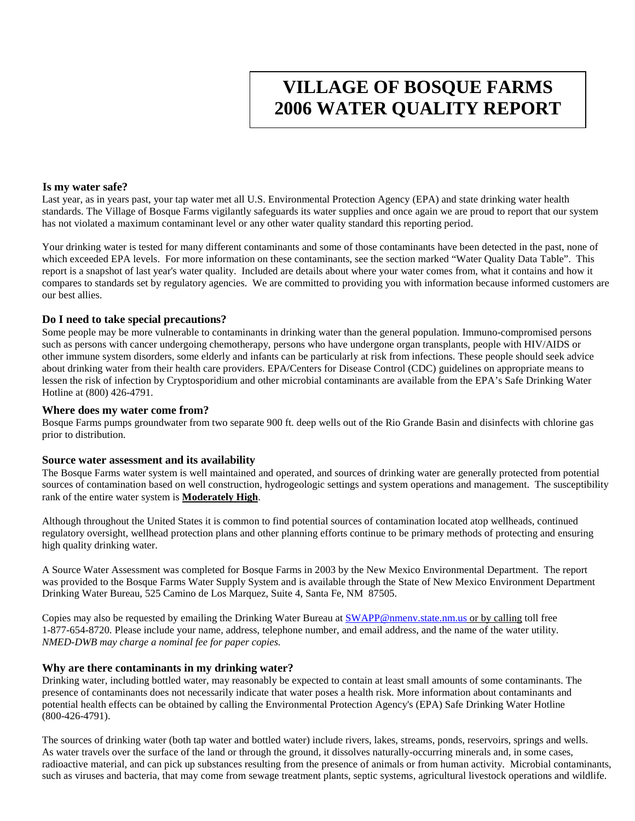# **VILLAGE OF BOSQUE FARMS 2006 WATER QUALITY REPORT**

#### **Is my water safe?**

Last year, as in years past, your tap water met all U.S. Environmental Protection Agency (EPA) and state drinking water health standards. The Village of Bosque Farms vigilantly safeguards its water supplies and once again we are proud to report that our system has not violated a maximum contaminant level or any other water quality standard this reporting period.

Your drinking water is tested for many different contaminants and some of those contaminants have been detected in the past, none of which exceeded EPA levels. For more information on these contaminants, see the section marked "Water Quality Data Table". This report is a snapshot of last year's water quality. Included are details about where your water comes from, what it contains and how it compares to standards set by regulatory agencies. We are committed to providing you with information because informed customers are our best allies.

#### **Do I need to take special precautions?**

Some people may be more vulnerable to contaminants in drinking water than the general population. Immuno-compromised persons such as persons with cancer undergoing chemotherapy, persons who have undergone organ transplants, people with HIV/AIDS or other immune system disorders, some elderly and infants can be particularly at risk from infections. These people should seek advice about drinking water from their health care providers. EPA/Centers for Disease Control (CDC) guidelines on appropriate means to lessen the risk of infection by Cryptosporidium and other microbial contaminants are available from the EPA's Safe Drinking Water Hotline at (800) 426-4791.

#### **Where does my water come from?**

Bosque Farms pumps groundwater from two separate 900 ft. deep wells out of the Rio Grande Basin and disinfects with chlorine gas prior to distribution.

#### **Source water assessment and its availability**

The Bosque Farms water system is well maintained and operated, and sources of drinking water are generally protected from potential sources of contamination based on well construction, hydrogeologic settings and system operations and management. The susceptibility rank of the entire water system is **Moderately High**.

Although throughout the United States it is common to find potential sources of contamination located atop wellheads, continued regulatory oversight, wellhead protection plans and other planning efforts continue to be primary methods of protecting and ensuring high quality drinking water.

A Source Water Assessment was completed for Bosque Farms in 2003 by the New Mexico Environmental Department. The report was provided to the Bosque Farms Water Supply System and is available through the State of New Mexico Environment Department Drinking Water Bureau, 525 Camino de Los Marquez, Suite 4, Santa Fe, NM 87505.

Copies may also be requested by emailing the Drinking Water Bureau at [SWAPP@nmenv.state.nm.us](mailto:SWAPP@nmenv.state.nm.us) or by calling toll free 1-877-654-8720. Please include your name, address, telephone number, and email address, and the name of the water utility. *NMED-DWB may charge a nominal fee for paper copies.*

#### **Why are there contaminants in my drinking water?**

Drinking water, including bottled water, may reasonably be expected to contain at least small amounts of some contaminants. The presence of contaminants does not necessarily indicate that water poses a health risk. More information about contaminants and potential health effects can be obtained by calling the Environmental Protection Agency's (EPA) Safe Drinking Water Hotline (800-426-4791).

The sources of drinking water (both tap water and bottled water) include rivers, lakes, streams, ponds, reservoirs, springs and wells. As water travels over the surface of the land or through the ground, it dissolves naturally-occurring minerals and, in some cases, radioactive material, and can pick up substances resulting from the presence of animals or from human activity. Microbial contaminants, such as viruses and bacteria, that may come from sewage treatment plants, septic systems, agricultural livestock operations and wildlife.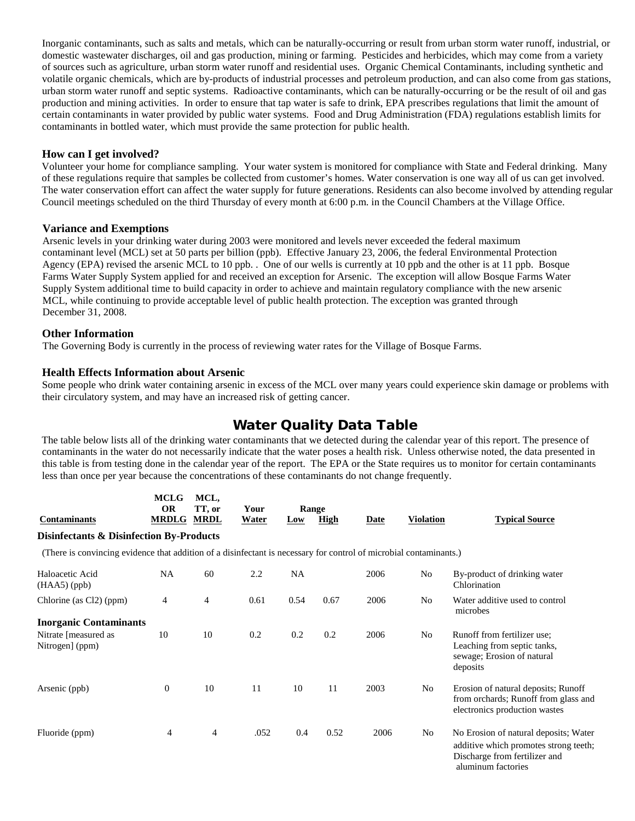Inorganic contaminants, such as salts and metals, which can be naturally-occurring or result from urban storm water runoff, industrial, or domestic wastewater discharges, oil and gas production, mining or farming. Pesticides and herbicides, which may come from a variety of sources such as agriculture, urban storm water runoff and residential uses. Organic Chemical Contaminants, including synthetic and volatile organic chemicals, which are by-products of industrial processes and petroleum production, and can also come from gas stations, urban storm water runoff and septic systems. Radioactive contaminants, which can be naturally-occurring or be the result of oil and gas production and mining activities. In order to ensure that tap water is safe to drink, EPA prescribes regulations that limit the amount of certain contaminants in water provided by public water systems. Food and Drug Administration (FDA) regulations establish limits for contaminants in bottled water, which must provide the same protection for public health.

# **How can I get involved?**

Volunteer your home for compliance sampling. Your water system is monitored for compliance with State and Federal drinking. Many of these regulations require that samples be collected from customer's homes. Water conservation is one way all of us can get involved. The water conservation effort can affect the water supply for future generations. Residents can also become involved by attending regular Council meetings scheduled on the third Thursday of every month at 6:00 p.m. in the Council Chambers at the Village Office.

## **Variance and Exemptions**

Arsenic levels in your drinking water during 2003 were monitored and levels never exceeded the federal maximum contaminant level (MCL) set at 50 parts per billion (ppb). Effective January 23, 2006, the federal Environmental Protection Agency (EPA) revised the arsenic MCL to 10 ppb. . One of our wells is currently at 10 ppb and the other is at 11 ppb. Bosque Farms Water Supply System applied for and received an exception for Arsenic. The exception will allow Bosque Farms Water Supply System additional time to build capacity in order to achieve and maintain regulatory compliance with the new arsenic MCL, while continuing to provide acceptable level of public health protection. The exception was granted through December 31, 2008.

## **Other Information**

The Governing Body is currently in the process of reviewing water rates for the Village of Bosque Farms.

## **Health Effects Information about Arsenic**

Some people who drink water containing arsenic in excess of the MCL over many years could experience skin damage or problems with their circulatory system, and may have an increased risk of getting cancer.

# Water Quality Data Table

The table below lists all of the drinking water contaminants that we detected during the calendar year of this report. The presence of contaminants in the water do not necessarily indicate that the water poses a health risk. Unless otherwise noted, the data presented in this table is from testing done in the calendar year of the report. The EPA or the State requires us to monitor for certain contaminants less than once per year because the concentrations of these contaminants do not change frequently.

| <b>Contaminants</b>                                                                                                | <b>MCLG</b><br><b>OR</b><br><b>MRDLG MRDL</b> | MCL,<br>TT, or | Your<br>Water | Range<br>Low | <b>High</b> | <b>Date</b> | <b>Violation</b> | <b>Typical Source</b>                                                                                                                 |
|--------------------------------------------------------------------------------------------------------------------|-----------------------------------------------|----------------|---------------|--------------|-------------|-------------|------------------|---------------------------------------------------------------------------------------------------------------------------------------|
| <b>Disinfectants &amp; Disinfection By-Products</b>                                                                |                                               |                |               |              |             |             |                  |                                                                                                                                       |
| (There is convincing evidence that addition of a disinfectant is necessary for control of microbial contaminants.) |                                               |                |               |              |             |             |                  |                                                                                                                                       |
| Haloacetic Acid<br>$(HAA5)$ (ppb)                                                                                  | NA                                            | 60             | 2.2           | <b>NA</b>    |             | 2006        | No               | By-product of drinking water<br>Chlorination                                                                                          |
| Chlorine (as Cl2) (ppm)                                                                                            | 4                                             | $\overline{4}$ | 0.61          | 0.54         | 0.67        | 2006        | No               | Water additive used to control<br>microbes                                                                                            |
| <b>Inorganic Contaminants</b>                                                                                      |                                               |                |               |              |             |             |                  |                                                                                                                                       |
| Nitrate [measured as<br>Nitrogen] (ppm)                                                                            | 10                                            | 10             | 0.2           | 0.2          | 0.2         | 2006        | No               | Runoff from fertilizer use;<br>Leaching from septic tanks,<br>sewage; Erosion of natural<br>deposits                                  |
| Arsenic (ppb)                                                                                                      | $\boldsymbol{0}$                              | 10             | 11            | 10           | 11          | 2003        | No               | Erosion of natural deposits; Runoff<br>from orchards; Runoff from glass and<br>electronics production wastes                          |
| Fluoride (ppm)                                                                                                     | 4                                             | $\overline{4}$ | .052          | 0.4          | 0.52        | 2006        | No               | No Erosion of natural deposits; Water<br>additive which promotes strong teeth;<br>Discharge from fertilizer and<br>aluminum factories |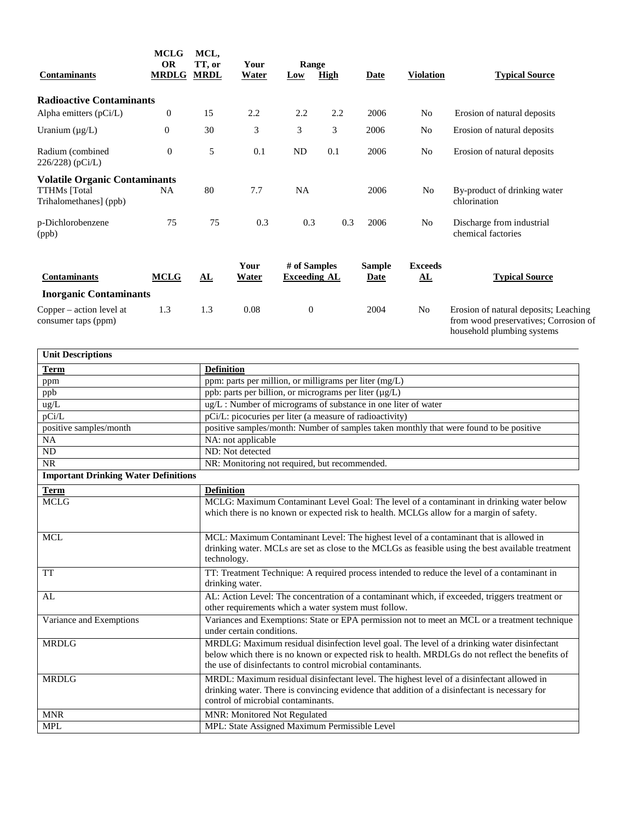| <b>Contaminants</b>                                                                   | <b>MCLG</b><br><b>OR</b><br><b>MRDLG</b> | MCL,<br>TT, or<br><b>MRDL</b> | Your<br>Water | Range<br>Low                        | <b>High</b> | Date                         | <b>Violation</b>                         | <b>Typical Source</b>                                                                                        |
|---------------------------------------------------------------------------------------|------------------------------------------|-------------------------------|---------------|-------------------------------------|-------------|------------------------------|------------------------------------------|--------------------------------------------------------------------------------------------------------------|
| <b>Radioactive Contaminants</b>                                                       |                                          |                               |               |                                     |             |                              |                                          |                                                                                                              |
| Alpha emitters (pCi/L)                                                                | $\boldsymbol{0}$                         | 15                            | 2.2           | 2.2                                 | 2.2         | 2006                         | No                                       | Erosion of natural deposits                                                                                  |
| Uranium $(\mu g/L)$                                                                   | $\boldsymbol{0}$                         | 30                            | 3             | 3                                   | 3           | 2006                         | No                                       | Erosion of natural deposits                                                                                  |
| Radium (combined)<br>226/228) (pCi/L)                                                 | $\overline{0}$                           | 5                             | 0.1           | ND                                  | 0.1         | 2006                         | No                                       | Erosion of natural deposits                                                                                  |
| <b>Volatile Organic Contaminants</b><br><b>TTHMs</b> [Total<br>Trihalomethanes] (ppb) | NA                                       | 80                            | 7.7           | NA                                  |             | 2006                         | No                                       | By-product of drinking water<br>chlorination                                                                 |
| p-Dichlorobenzene<br>(ppb)                                                            | 75                                       | 75                            | 0.3           | 0.3                                 | 0.3         | 2006                         | No                                       | Discharge from industrial<br>chemical factories                                                              |
| <b>Contaminants</b>                                                                   | <b>MCLG</b>                              | ${\bf A}$ L                   | Your<br>Water | # of Samples<br><b>Exceeding AL</b> |             | <b>Sample</b><br><b>Date</b> | <b>Exceeds</b><br>${\bf \underline{AL}}$ | <b>Typical Source</b>                                                                                        |
| <b>Inorganic Contaminants</b>                                                         |                                          |                               |               |                                     |             |                              |                                          |                                                                                                              |
| Copper – action level at<br>consumer taps (ppm)                                       | 1.3                                      | 1.3                           | 0.08          | $\boldsymbol{0}$                    |             | 2004                         | No                                       | Erosion of natural deposits; Leaching<br>from wood preservatives; Corrosion of<br>household plumbing systems |

| <b>Unit Descriptions</b>                    |                                                                                                                                                                                                                                                               |  |  |  |  |
|---------------------------------------------|---------------------------------------------------------------------------------------------------------------------------------------------------------------------------------------------------------------------------------------------------------------|--|--|--|--|
| <b>Term</b>                                 | <b>Definition</b>                                                                                                                                                                                                                                             |  |  |  |  |
| ppm                                         | ppm: parts per million, or milligrams per liter (mg/L)                                                                                                                                                                                                        |  |  |  |  |
| ppb                                         | ppb: parts per billion, or micrograms per liter $(\mu g/L)$                                                                                                                                                                                                   |  |  |  |  |
| ug/L                                        | ug/L: Number of micrograms of substance in one liter of water                                                                                                                                                                                                 |  |  |  |  |
| pCi/L                                       | pCi/L: picocuries per liter (a measure of radioactivity)                                                                                                                                                                                                      |  |  |  |  |
| positive samples/month                      | positive samples/month: Number of samples taken monthly that were found to be positive                                                                                                                                                                        |  |  |  |  |
| NA                                          | NA: not applicable                                                                                                                                                                                                                                            |  |  |  |  |
| ${\rm ND}$                                  | ND: Not detected                                                                                                                                                                                                                                              |  |  |  |  |
| <b>NR</b>                                   | NR: Monitoring not required, but recommended.                                                                                                                                                                                                                 |  |  |  |  |
| <b>Important Drinking Water Definitions</b> |                                                                                                                                                                                                                                                               |  |  |  |  |
| <b>Term</b>                                 | <b>Definition</b>                                                                                                                                                                                                                                             |  |  |  |  |
| <b>MCLG</b>                                 | MCLG: Maximum Contaminant Level Goal: The level of a contaminant in drinking water below<br>which there is no known or expected risk to health. MCLGs allow for a margin of safety.                                                                           |  |  |  |  |
| <b>MCL</b>                                  | MCL: Maximum Contaminant Level: The highest level of a contaminant that is allowed in<br>drinking water. MCLs are set as close to the MCLGs as feasible using the best available treatment<br>technology.                                                     |  |  |  |  |
| <b>TT</b>                                   | TT: Treatment Technique: A required process intended to reduce the level of a contaminant in<br>drinking water.                                                                                                                                               |  |  |  |  |
| AL                                          | AL: Action Level: The concentration of a contaminant which, if exceeded, triggers treatment or<br>other requirements which a water system must follow.                                                                                                        |  |  |  |  |
| Variance and Exemptions                     | Variances and Exemptions: State or EPA permission not to meet an MCL or a treatment technique<br>under certain conditions.                                                                                                                                    |  |  |  |  |
| <b>MRDLG</b>                                | MRDLG: Maximum residual disinfection level goal. The level of a drinking water disinfectant<br>below which there is no known or expected risk to health. MRDLGs do not reflect the benefits of<br>the use of disinfectants to control microbial contaminants. |  |  |  |  |
| <b>MRDLG</b>                                | MRDL: Maximum residual disinfectant level. The highest level of a disinfectant allowed in<br>drinking water. There is convincing evidence that addition of a disinfectant is necessary for<br>control of microbial contaminants.                              |  |  |  |  |
| <b>MNR</b>                                  | MNR: Monitored Not Regulated                                                                                                                                                                                                                                  |  |  |  |  |
| <b>MPL</b>                                  | MPL: State Assigned Maximum Permissible Level                                                                                                                                                                                                                 |  |  |  |  |